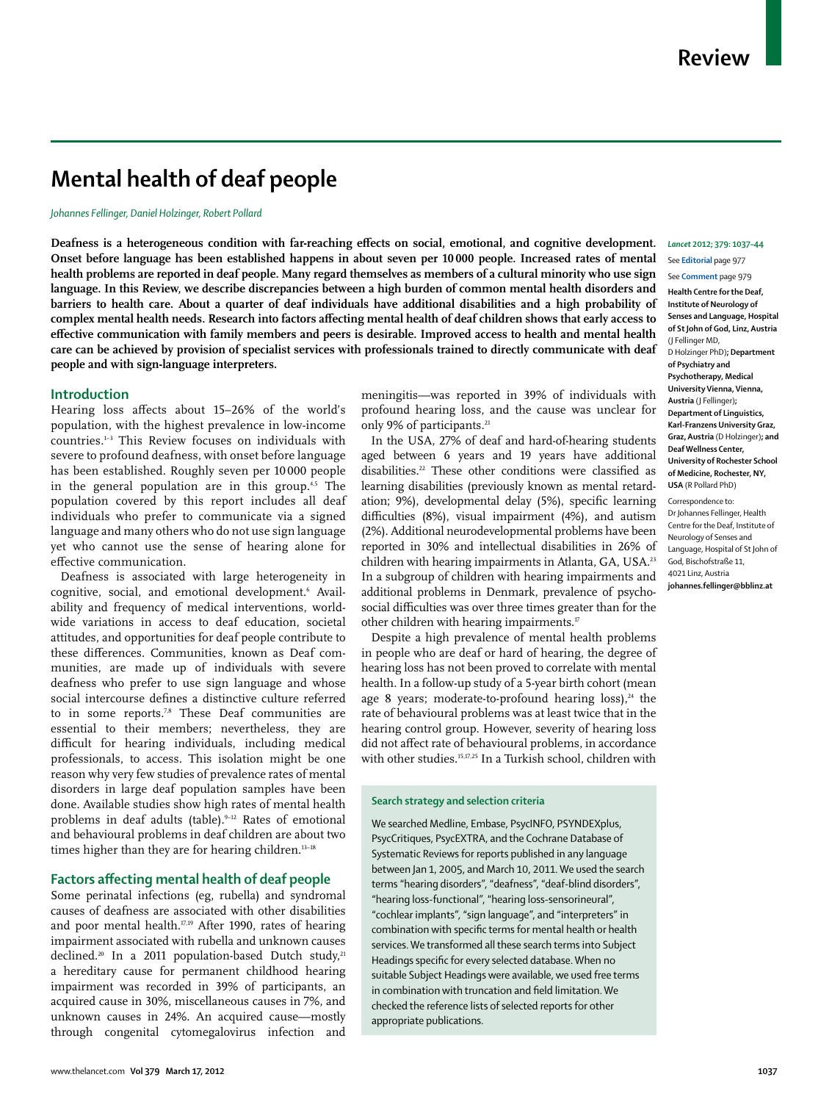# **Mental health of deaf people**

*Johannes Fellinger, Daniel Holzinger, Robert Pollard*

**Deafness is a heterogeneous condition with far-reaching effects on social, emotional, and cognitive development. Onset before language has been established happens in about seven per 10 000 people. Increased rates of mental health problems are reported in deaf people. Many regard themselves as members of a cultural minority who use sign language. In this Review, we describe discrepancies between a high burden of common mental health disorders and barriers to health care. About a quarter of deaf individuals have additional disabilities and a high probability of complex mental health needs. Research into factors affecting mental health of deaf children shows that early access to effective communication with family members and peers is desirable. Improved access to health and mental health care can be achieved by provision of specialist services with professionals trained to directly communicate with deaf people and with sign-language interpreters.**

## **Introduction**

Hearing loss affects about 15–26% of the world's population, with the highest prevalence in low-income countries.1–3 This Review focuses on individuals with severe to profound deafness, with onset before language has been established. Roughly seven per 10 000 people in the general population are in this group.<sup>4,5</sup> The population covered by this report includes all deaf individuals who prefer to communicate via a signed language and many others who do not use sign language yet who cannot use the sense of hearing alone for effective communication.

Deafness is associated with large heterogeneity in cognitive, social, and emotional development.6 Availability and frequency of medical interventions, worldwide variations in access to deaf education, societal attitudes, and opportunities for deaf people contribute to these differences. Communities, known as Deaf communities, are made up of individuals with severe deafness who prefer to use sign language and whose social intercourse defines a distinctive culture referred to in some reports.<sup>7,8</sup> These Deaf communities are essential to their members; nevertheless, they are difficult for hearing individuals, including medical professionals, to access. This isolation might be one reason why very few studies of prevalence rates of mental disorders in large deaf population samples have been done. Available studies show high rates of mental health problems in deaf adults (table).9–12 Rates of emotional and behavioural problems in deaf children are about two times higher than they are for hearing children.<sup>13-18</sup>

# **Factors affecting mental health of deaf people**

Some perinatal infections (eg, rubella) and syndromal causes of deafness are associated with other disabilities and poor mental health.<sup>17,19</sup> After 1990, rates of hearing impairment associated with rubella and unknown causes declined.<sup>20</sup> In a 2011 population-based Dutch study,<sup>21</sup> a hereditary cause for permanent childhood hearing impairment was recorded in 39% of participants, an acquired cause in 30%, miscellaneous causes in 7%, and unknown causes in 24%. An acquired cause—mostly through congenital cytomegalovirus infection and meningitis—was reported in 39% of individuals with profound hearing loss, and the cause was unclear for only 9% of participants.<sup>21</sup>

In the USA, 27% of deaf and hard-of-hearing students aged between 6 years and 19 years have additional disabilities.<sup>22</sup> These other conditions were classified as learning disabilities (previously known as mental retardation; 9%), developmental delay (5%), specific learning difficulties (8%), visual impairment (4%), and autism (2%). Additional neurodevelopmental problems have been reported in 30% and intellectual disabilities in 26% of children with hearing impairments in Atlanta, GA, USA.<sup>23</sup> In a subgroup of children with hearing impairments and additional problems in Denmark, prevalence of psychosocial difficulties was over three times greater than for the other children with hearing impairments.<sup>17</sup>

Despite a high prevalence of mental health problems in people who are deaf or hard of hearing, the degree of hearing loss has not been proved to correlate with mental health. In a follow-up study of a 5-year birth cohort (mean age 8 years; moderate-to-profound hearing  $loss$ ),<sup>24</sup> the rate of behavioural problems was at least twice that in the hearing control group. However, severity of hearing loss did not affect rate of behavioural problems, in accordance with other studies.<sup>15,17,25</sup> In a Turkish school, children with

## **Search strategy and selection criteria**

We searched Medline, Embase, PsycINFO, PSYNDEXplus, PsycCritiques, PsycEXTRA, and the Cochrane Database of Systematic Reviews for reports published in any language between Jan 1, 2005, and March 10, 2011. We used the search terms "hearing disorders", "deafness", "deaf-blind disorders", "hearing loss-functional", "hearing loss-sensorineural", "cochlear implants", "sign language", and "interpreters" in combination with specific terms for mental health or health services. We transformed all these search terms into Subject Headings specific for every selected database. When no suitable Subject Headings were available, we used free terms in combination with truncation and field limitation. We checked the reference lists of selected reports for other appropriate publications.

# *Lancet* **2012; 379: 1037–44**

See **Editorial** page 977

See **Comment** page 979

**Health Centre for the Deaf, Institute of Neurology of Senses and Language, Hospital of St John of God, Linz, Austria** (J Fellinger MD, D Holzinger PhD)**; Department of Psychiatry and Psychotherapy, Medical University Vienna, Vienna, Austria** (J Fellinger)**; Department of Linguistics, Karl-Franzens University Graz, Graz, Austria** (D Holzinger)**; and Deaf Wellness Center, University of Rochester School of Medicine, Rochester, NY, USA** (R Pollard PhD)

Correspondence to: Dr Johannes Fellinger, Health Centre for the Deaf, Institute of Neurology of Senses and Language, Hospital of St John of God, Bischofstraße 11, 4021 Linz, Austria **johannes.fellinger@bblinz.at**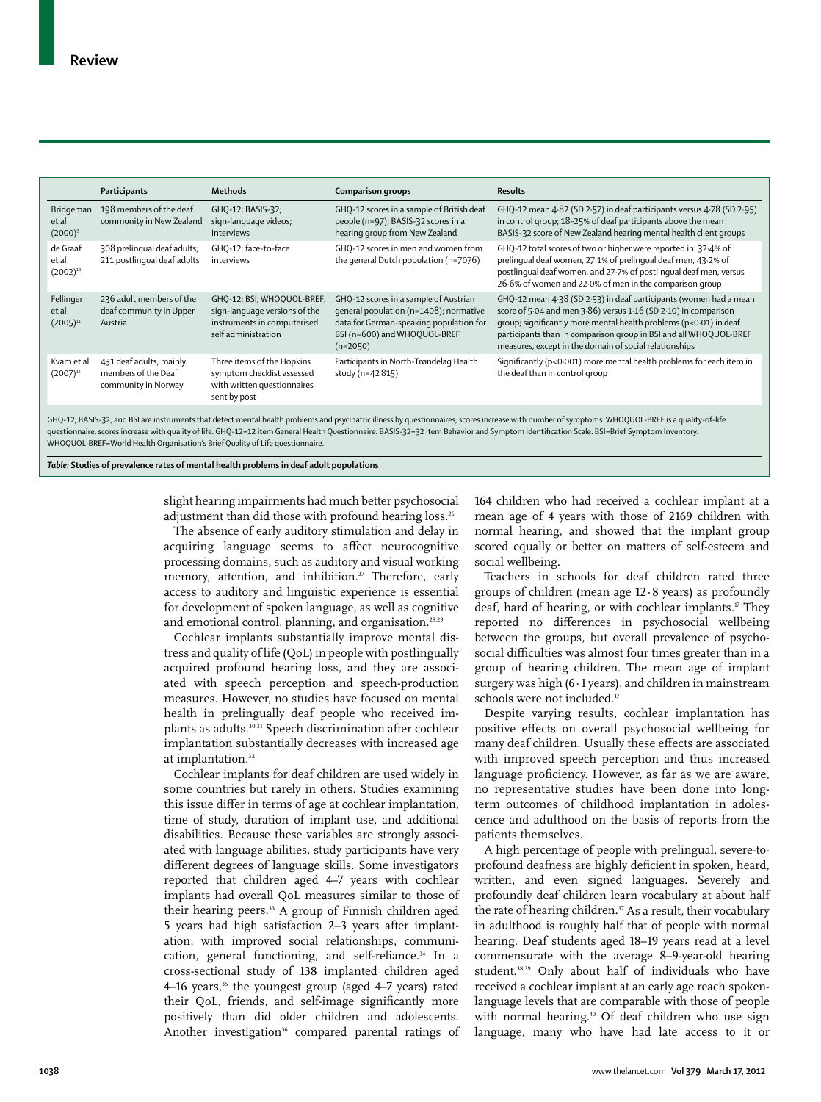|                                     | Participants                                                          | Methods                                                                                                           | <b>Comparison groups</b>                                                                                                                                                 | <b>Results</b>                                                                                                                                                                                                                                                                                                                           |
|-------------------------------------|-----------------------------------------------------------------------|-------------------------------------------------------------------------------------------------------------------|--------------------------------------------------------------------------------------------------------------------------------------------------------------------------|------------------------------------------------------------------------------------------------------------------------------------------------------------------------------------------------------------------------------------------------------------------------------------------------------------------------------------------|
| Bridgeman<br>et al<br>$(2000)^9$    | 198 members of the deaf<br>community in New Zealand                   | GHQ-12; BASIS-32;<br>sign-language videos;<br>interviews                                                          | GHQ-12 scores in a sample of British deaf<br>people (n=97); BASIS-32 scores in a<br>hearing group from New Zealand                                                       | GHQ-12 mean 4.82 (SD 2.57) in deaf participants versus 4.78 (SD 2.95)<br>in control group; 18-25% of deaf participants above the mean<br>BASIS-32 score of New Zealand hearing mental health client groups                                                                                                                               |
| de Graaf<br>et al<br>$(2002)^{10}$  | 308 prelingual deaf adults;<br>211 postlingual deaf adults            | GHQ-12; face-to-face<br>interviews                                                                                | GHQ-12 scores in men and women from<br>the general Dutch population (n=7076)                                                                                             | GHQ-12 total scores of two or higher were reported in: 32-4% of<br>prelingual deaf women, 27.1% of prelingual deaf men, 43.2% of<br>postlingual deaf women, and 27.7% of postlingual deaf men, versus<br>26.6% of women and 22.0% of men in the comparison group                                                                         |
| Fellinger<br>et al<br>$(2005)^{11}$ | 236 adult members of the<br>deaf community in Upper<br>Austria        | GHQ-12; BSI; WHOQUOL-BREF;<br>sign-language versions of the<br>instruments in computerised<br>self administration | GHQ-12 scores in a sample of Austrian<br>general population (n=1408); normative<br>data for German-speaking population for<br>BSI (n=600) and WHOQUOL-BREF<br>$(n=2050)$ | GHQ-12 mean 4.38 (SD 2.53) in deaf participants (women had a mean<br>score of 5.04 and men 3.86) versus 1.16 (SD 2.10) in comparison<br>group; significantly more mental health problems (p<0.01) in deaf<br>participants than in comparison group in BSI and all WHOQUOL-BREF<br>measures, except in the domain of social relationships |
| Kvam et al<br>$(2007)^{12}$         | 431 deaf adults, mainly<br>members of the Deaf<br>community in Norway | Three items of the Hopkins<br>symptom checklist assessed<br>with written questionnaires<br>sent by post           | Participants in North-Trøndelag Health<br>study (n=42 815)                                                                                                               | Significantly (p<0.001) more mental health problems for each item in<br>the deaf than in control group                                                                                                                                                                                                                                   |

GHQ-12, BASIS-32, and BSI are instruments that detect mental health problems and psycihatric illness by questionnaires; scores increase with number of symptoms. WHOQUOL-BREF is a quality-of-life questionnaire; scores increase with quality of life. GHQ-12=12 item General Health Questionnaire. BASIS-32=32 item Behavior and Symptom Identification Scale. BSI=Brief Symptom Inventory. WHOQUOL-BREF=World Health Organisation's Brief Quality of Life questionnaire.

*Table:* **Studies of prevalence rates of mental health problems in deaf adult populations**

slight hearing impairments had much better psychosocial adjustment than did those with profound hearing loss.<sup>26</sup>

The absence of early auditory stimulation and delay in acquiring language seems to affect neurocognitive processing domains, such as auditory and visual working memory, attention, and inhibition.<sup>27</sup> Therefore, early access to auditory and linguistic experience is essential for development of spoken language, as well as cognitive and emotional control, planning, and organisation.<sup>28,29</sup>

Cochlear implants substantially improve mental distress and quality of life (QoL) in people with postlingually acquired profound hearing loss, and they are associated with speech perception and speech-production measures. However, no studies have focused on mental health in prelingually deaf people who received implants as adults.<sup>30,31</sup> Speech discrimination after cochlear implantation substantially decreases with increased age at implantation.<sup>32</sup>

Cochlear implants for deaf children are used widely in some countries but rarely in others. Studies examining this issue differ in terms of age at cochlear implantation, time of study, duration of implant use, and additional disabilities. Because these variables are strongly associated with language abilities, study participants have very different degrees of language skills. Some investigators reported that children aged 4–7 years with cochlear implants had overall QoL measures similar to those of their hearing peers.<sup>33</sup> A group of Finnish children aged 5 years had high satisfaction 2–3 years after implantation, with improved social relationships, communication, general functioning, and self-reliance.<sup>34</sup> In a cross-sectional study of 138 implanted children aged 4–16 years,<sup>35</sup> the youngest group (aged 4–7 years) rated their QoL, friends, and self-image significantly more positively than did older children and adolescents. Another investigation<sup>36</sup> compared parental ratings of 164 children who had received a cochlear implant at a mean age of 4 years with those of 2169 children with normal hearing, and showed that the implant group scored equally or better on matters of self-esteem and social wellbeing.

Teachers in schools for deaf children rated three groups of children (mean age 12·8 years) as profoundly deaf, hard of hearing, or with cochlear implants.<sup>17</sup> They reported no differences in psychosocial wellbeing between the groups, but overall prevalence of psychosocial difficulties was almost four times greater than in a group of hearing children. The mean age of implant surgery was high  $(6.1 \text{ years})$ , and children in mainstream schools were not included.<sup>17</sup>

Despite varying results, cochlear implantation has positive effects on overall psychosocial wellbeing for many deaf children. Usually these effects are associated with improved speech perception and thus increased language proficiency. However, as far as we are aware, no representative studies have been done into longterm outcomes of childhood implantation in adolescence and adulthood on the basis of reports from the patients themselves.

A high percentage of people with prelingual, severe-toprofound deafness are highly deficient in spoken, heard, written, and even signed languages. Severely and profoundly deaf children learn vocabulary at about half the rate of hearing children.<sup>37</sup> As a result, their vocabulary in adulthood is roughly half that of people with normal hearing. Deaf students aged 18–19 years read at a level commensurate with the average 8–9-year-old hearing student.<sup>38,39</sup> Only about half of individuals who have received a cochlear implant at an early age reach spokenlanguage levels that are comparable with those of people with normal hearing.<sup>40</sup> Of deaf children who use sign language, many who have had late access to it or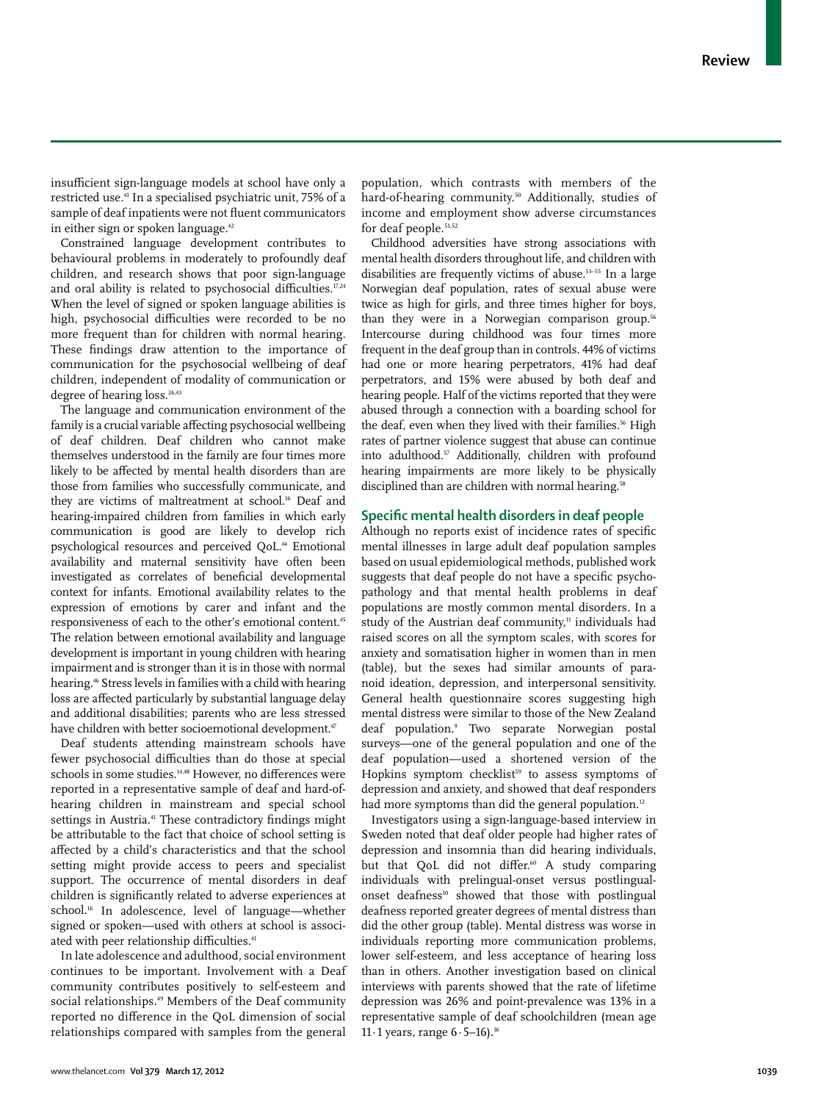insufficient sign-language models at school have only a restricted use.41 In a specialised psychiatric unit, 75% of a sample of deaf inpatients were not fluent communicators in either sign or spoken language.<sup>42</sup>

Constrained language development contributes to behavioural problems in moderately to profoundly deaf children, and research shows that poor sign-language and oral ability is related to psychosocial difficulties.<sup>17,24</sup> When the level of signed or spoken language abilities is high, psychosocial difficulties were recorded to be no more frequent than for children with normal hearing. These findings draw attention to the importance of communication for the psychosocial wellbeing of deaf children, independent of modality of communication or degree of hearing loss.<sup>26,43</sup>

The language and communication environment of the family is a crucial variable affecting psychosocial wellbeing of deaf children. Deaf children who cannot make themselves understood in the family are four times more likely to be affected by mental health disorders than are those from families who successfully communicate, and they are victims of maltreatment at school.<sup>16</sup> Deaf and hearing-impaired children from families in which early communication is good are likely to develop rich psychological resources and perceived QoL.44 Emotional availability and maternal sensitivity have often been investigated as correlates of beneficial developmental context for infants. Emotional availability relates to the expression of emotions by carer and infant and the responsiveness of each to the other's emotional content.45 The relation between emotional availability and language development is important in young children with hearing impairment and is stronger than it is in those with normal hearing.<sup>46</sup> Stress levels in families with a child with hearing loss are affected particularly by substantial language delay and additional disabilities; parents who are less stressed have children with better socioemotional development.<sup>47</sup>

Deaf students attending mainstream schools have fewer psychosocial difficulties than do those at special schools in some studies.<sup>14,48</sup> However, no differences were reported in a representative sample of deaf and hard-ofhearing children in mainstream and special school settings in Austria.<sup>41</sup> These contradictory findings might be attributable to the fact that choice of school setting is affected by a child's characteristics and that the school setting might provide access to peers and specialist support. The occurrence of mental disorders in deaf children is significantly related to adverse experiences at school.<sup>16</sup> In adolescence, level of language—whether signed or spoken—used with others at school is associated with peer relationship difficulties.<sup>41</sup>

In late adolescence and adulthood, social environment continues to be important. Involvement with a Deaf community contributes positively to self-esteem and social relationships.<sup>49</sup> Members of the Deaf community reported no difference in the QoL dimension of social relationships compared with samples from the general population, which contrasts with members of the hard-of-hearing community.<sup>50</sup> Additionally, studies of income and employment show adverse circumstances for deaf people.<sup>51,52</sup>

Childhood adversities have strong associations with mental health disorders throughout life, and children with disabilities are frequently victims of abuse.<sup>53-55</sup> In a large Norwegian deaf population, rates of sexual abuse were twice as high for girls, and three times higher for boys, than they were in a Norwegian comparison group.<sup>56</sup> Intercourse during childhood was four times more frequent in the deaf group than in controls. 44% of victims had one or more hearing perpetrators, 41% had deaf perpetrators, and 15% were abused by both deaf and hearing people. Half of the victims reported that they were abused through a connection with a boarding school for the deaf, even when they lived with their families.<sup>56</sup> High rates of partner violence suggest that abuse can continue into adulthood.<sup>57</sup> Additionally, children with profound hearing impairments are more likely to be physically disciplined than are children with normal hearing.<sup>58</sup>

# **Specific mental health disorders in deaf people**

Although no reports exist of incidence rates of specific mental illnesses in large adult deaf population samples based on usual epidemiological methods, published work suggests that deaf people do not have a specific psychopathology and that mental health problems in deaf populations are mostly common mental disorders. In a study of the Austrian deaf community,<sup>11</sup> individuals had raised scores on all the symptom scales, with scores for anxiety and somatisation higher in women than in men (table), but the sexes had similar amounts of paranoid ideation, depression, and interpersonal sensitivity. General health questionnaire scores suggesting high mental distress were similar to those of the New Zealand deaf population.9 Two separate Norwegian postal surveys—one of the general population and one of the deaf population—used a shortened version of the Hopkins symptom checklist<sup>59</sup> to assess symptoms of depression and anxiety, and showed that deaf responders had more symptoms than did the general population.<sup>12</sup>

Investigators using a sign-language-based interview in Sweden noted that deaf older people had higher rates of depression and insomnia than did hearing individuals, but that QoL did not differ.<sup>60</sup> A study comparing individuals with prelingual-onset versus postlingualonset deafness<sup>10</sup> showed that those with postlingual deafness reported greater degrees of mental distress than did the other group (table). Mental distress was worse in individuals reporting more communication problems, lower self-esteem, and less acceptance of hearing loss than in others. Another investigation based on clinical interviews with parents showed that the rate of lifetime depression was 26% and point-prevalence was 13% in a representative sample of deaf schoolchildren (mean age 11 $\cdot$ 1 years, range 6 $\cdot$ 5-16).<sup>16</sup>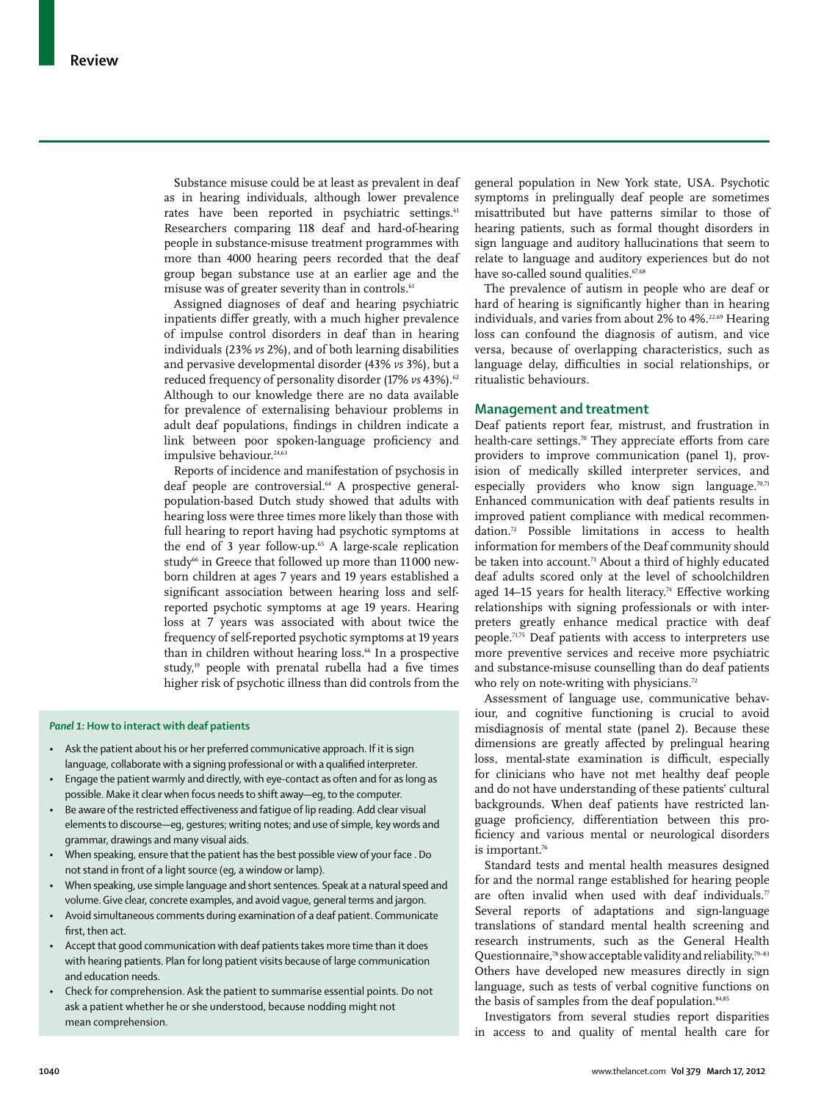Substance misuse could be at least as prevalent in deaf as in hearing individuals, although lower prevalence rates have been reported in psychiatric settings.<sup>61</sup> Researchers comparing 118 deaf and hard-of-hearing people in substance-misuse treatment programmes with more than 4000 hearing peers recorded that the deaf group began substance use at an earlier age and the misuse was of greater severity than in controls.<sup>61</sup>

Assigned diagnoses of deaf and hearing psychiatric inpatients differ greatly, with a much higher prevalence of impulse control disorders in deaf than in hearing individuals (23% *vs* 2%), and of both learning disabilities and pervasive developmental disorder (43% *vs* 3%), but a reduced frequency of personality disorder (17% *vs* 43%).<sup>62</sup> Although to our knowledge there are no data available for prevalence of externalising behaviour problems in adult deaf populations, findings in children indicate a link between poor spoken-language proficiency and impulsive behaviour.<sup>24,63</sup>

Reports of incidence and manifestation of psychosis in deaf people are controversial.<sup>64</sup> A prospective generalpopulation-based Dutch study showed that adults with hearing loss were three times more likely than those with full hearing to report having had psychotic symptoms at the end of 3 year follow-up. $65$  A large-scale replication study<sup>66</sup> in Greece that followed up more than 11000 newborn children at ages 7 years and 19 years established a significant association between hearing loss and selfreported psychotic symptoms at age 19 years. Hearing loss at 7 years was associated with about twice the frequency of self-reported psychotic symptoms at 19 years than in children without hearing loss.<sup>66</sup> In a prospective study,<sup>19</sup> people with prenatal rubella had a five times higher risk of psychotic illness than did controls from the

### *Panel 1:* **How to interact with deaf patients**

- Ask the patient about his or her preferred communicative approach. If it is sign language, collaborate with a signing professional or with a qualified interpreter.
- Engage the patient warmly and directly, with eye-contact as often and for as long as possible. Make it clear when focus needs to shift away—eg, to the computer.
- Be aware of the restricted effectiveness and fatigue of lip reading. Add clear visual elements to discourse—eg, gestures; writing notes; and use of simple, key words and grammar, drawings and many visual aids.
- When speaking, ensure that the patient has the best possible view of your face . Do not stand in front of a light source (eg, a window or lamp).
- When speaking, use simple language and short sentences. Speak at a natural speed and volume. Give clear, concrete examples, and avoid vague, general terms and jargon.
- Avoid simultaneous comments during examination of a deaf patient. Communicate first, then act.
- Accept that good communication with deaf patients takes more time than it does with hearing patients. Plan for long patient visits because of large communication and education needs.
- Check for comprehension. Ask the patient to summarise essential points. Do not ask a patient whether he or she understood, because nodding might not mean comprehension.

general population in New York state, USA. Psychotic symptoms in prelingually deaf people are sometimes misattributed but have patterns similar to those of hearing patients, such as formal thought disorders in sign language and auditory hallucinations that seem to relate to language and auditory experiences but do not have so-called sound qualities.<sup>67,68</sup>

The prevalence of autism in people who are deaf or hard of hearing is significantly higher than in hearing individuals, and varies from about 2% to 4%.<sup>22,69</sup> Hearing loss can confound the diagnosis of autism, and vice versa, because of overlapping characteristics, such as language delay, difficulties in social relationships, or ritualistic behaviours.

# **Management and treatment**

Deaf patients report fear, mistrust, and frustration in health-care settings.<sup>70</sup> They appreciate efforts from care providers to improve communication (panel 1), provision of medically skilled interpreter services, and especially providers who know sign language.<sup>70,71</sup> Enhanced communication with deaf patients results in improved patient compliance with medical recommendation.72 Possible limitations in access to health information for members of the Deaf community should be taken into account.<sup>73</sup> About a third of highly educated deaf adults scored only at the level of schoolchildren aged  $14-15$  years for health literacy.<sup>74</sup> Effective working relationships with signing professionals or with interpreters greatly enhance medical practice with deaf people.71,75 Deaf patients with access to interpreters use more preventive services and receive more psychiatric and substance-misuse counselling than do deaf patients who rely on note-writing with physicians.<sup>72</sup>

Assessment of language use, communicative behaviour, and cognitive functioning is crucial to avoid misdiagnosis of mental state (panel 2). Because these dimensions are greatly affected by prelingual hearing loss, mental-state examination is difficult, especially for clinicians who have not met healthy deaf people and do not have understanding of these patients' cultural backgrounds. When deaf patients have restricted language proficiency, differentiation between this proficiency and various mental or neurological disorders is important.<sup>76</sup>

Standard tests and mental health measures designed for and the normal range established for hearing people are often invalid when used with deaf individuals.<sup>77</sup> Several reports of adaptations and sign-language translations of standard mental health screening and research instruments, such as the General Health Questionnaire,78 show acceptable validity and reliability.79–83 Others have developed new measures directly in sign language, such as tests of verbal cognitive functions on the basis of samples from the deaf population.<sup>84,85</sup>

Investigators from several studies report disparities in access to and quality of mental health care for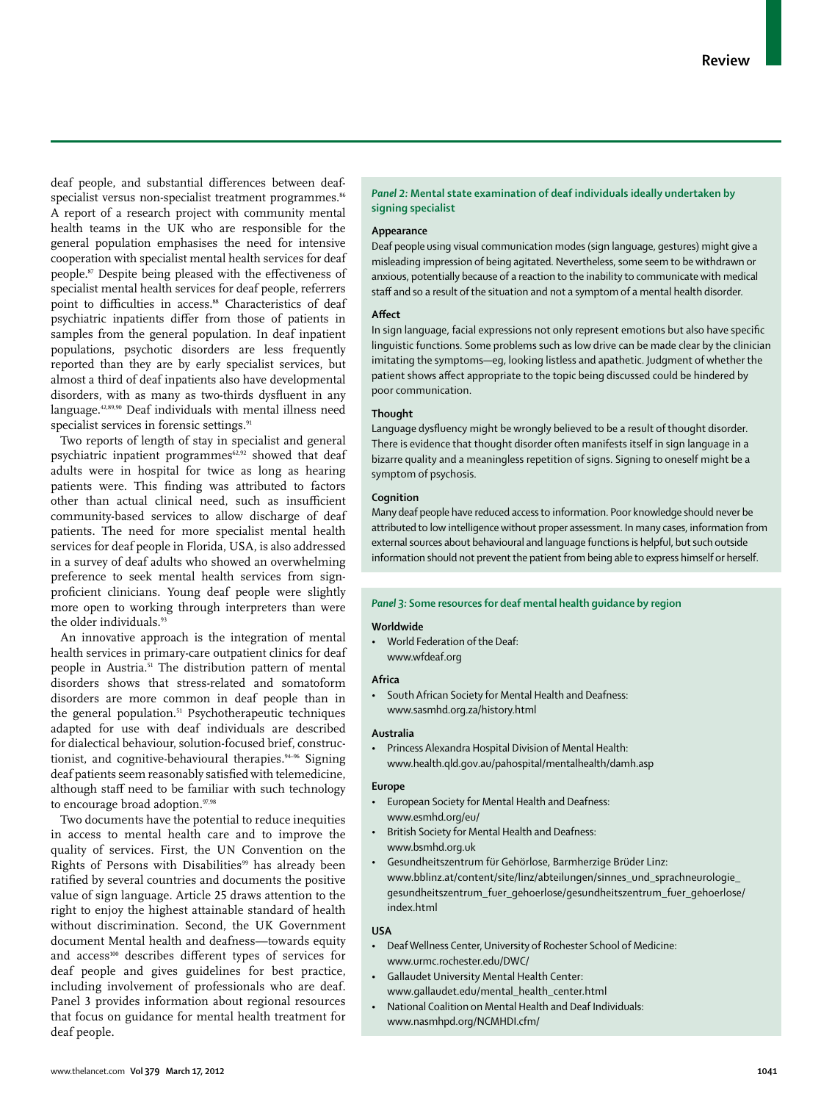deaf people, and substantial differences between deafspecialist versus non-specialist treatment programmes.<sup>86</sup> A report of a research project with community mental health teams in the UK who are responsible for the general population emphasises the need for intensive cooperation with specialist mental health services for deaf people.87 Despite being pleased with the effectiveness of specialist mental health services for deaf people, referrers point to difficulties in access.<sup>88</sup> Characteristics of deaf psychiatric inpatients differ from those of patients in samples from the general population. In deaf inpatient populations, psychotic disorders are less frequently reported than they are by early specialist services, but almost a third of deaf inpatients also have developmental disorders, with as many as two-thirds dysfluent in any language.42,89,90 Deaf individuals with mental illness need specialist services in forensic settings.<sup>91</sup>

Two reports of length of stay in specialist and general psychiatric inpatient programmes<sup>62,92</sup> showed that deaf adults were in hospital for twice as long as hearing patients were. This finding was attributed to factors other than actual clinical need, such as insufficient community-based services to allow discharge of deaf patients. The need for more specialist mental health services for deaf people in Florida, USA, is also addressed in a survey of deaf adults who showed an overwhelming preference to seek mental health services from signproficient clinicians. Young deaf people were slightly more open to working through interpreters than were the older individuals.<sup>93</sup>

An innovative approach is the integration of mental health services in primary-care outpatient clinics for deaf people in Austria.51 The distribution pattern of mental disorders shows that stress-related and somatoform disorders are more common in deaf people than in the general population.<sup>51</sup> Psychotherapeutic techniques adapted for use with deaf individuals are described for dialectical behaviour, solution-focused brief, constructionist, and cognitive-behavioural therapies.<sup>94-96</sup> Signing deaf patients seem reasonably satisfied with telemedicine, although staff need to be familiar with such technology to encourage broad adoption.<sup>97,98</sup>

Two documents have the potential to reduce inequities in access to mental health care and to improve the quality of services. First, the UN Convention on the Rights of Persons with Disabilities<sup>99</sup> has already been ratified by several countries and documents the positive value of sign language. Article 25 draws attention to the right to enjoy the highest attainable standard of health without discrimination. Second, the UK Government document Mental health and deafness—towards equity and access<sup>100</sup> describes different types of services for deaf people and gives guidelines for best practice, including involvement of professionals who are deaf. Panel 3 provides information about regional resources that focus on guidance for mental health treatment for deaf people.

# *Panel 2:* **Mental state examination of deaf individuals ideally undertaken by signing specialist**

### **Appearance**

Deaf people using visual communication modes (sign language, gestures) might give a misleading impression of being agitated. Nevertheless, some seem to be withdrawn or anxious, potentially because of a reaction to the inability to communicate with medical staff and so a result of the situation and not a symptom of a mental health disorder.

### **Affect**

In sign language, facial expressions not only represent emotions but also have specific linguistic functions. Some problems such as low drive can be made clear by the clinician imitating the symptoms—eg, looking listless and apathetic. Judgment of whether the patient shows affect appropriate to the topic being discussed could be hindered by poor communication.

### **Thought**

Language dysfluency might be wrongly believed to be a result of thought disorder. There is evidence that thought disorder often manifests itself in sign language in a bizarre quality and a meaningless repetition of signs. Signing to oneself might be a symptom of psychosis.

## **Cognition**

Many deaf people have reduced access to information. Poor knowledge should never be attributed to low intelligence without proper assessment. In many cases, information from external sources about behavioural and language functions is helpful, but such outside information should not prevent the patient from being able to express himself or herself.

### *Panel 3:* **Some resources for deaf mental health guidance by region**

# **Worldwide**

• World Federation of the Deaf: www.wfdeaf.org

# **Africa**

• South African Society for Mental Health and Deafness: www.sasmhd.org.za/history.html

#### **Australia**

Princess Alexandra Hospital Division of Mental Health: www.health.qld.gov.au/pahospital/mentalhealth/damh.asp

### **Europe**

- European Society for Mental Health and Deafness: www.esmhd.org/eu/
- British Society for Mental Health and Deafness: www.bsmhd.org.uk
- • Gesundheitszentrum für Gehörlose, Barmherzige Brüder Linz: www.bblinz.at/content/site/linz/abteilungen/sinnes\_und\_sprachneurologie\_ gesundheitszentrum\_fuer\_gehoerlose/gesundheitszentrum\_fuer\_gehoerlose/ index.html

## **USA**

- • Deaf Wellness Center, University of Rochester School of Medicine: www.urmc.rochester.edu/DWC/
- Gallaudet University Mental Health Center:
- www.gallaudet.edu/mental\_health\_center.html National Coalition on Mental Health and Deaf Individuals:
- www.nasmhpd.org/NCMHDI.cfm/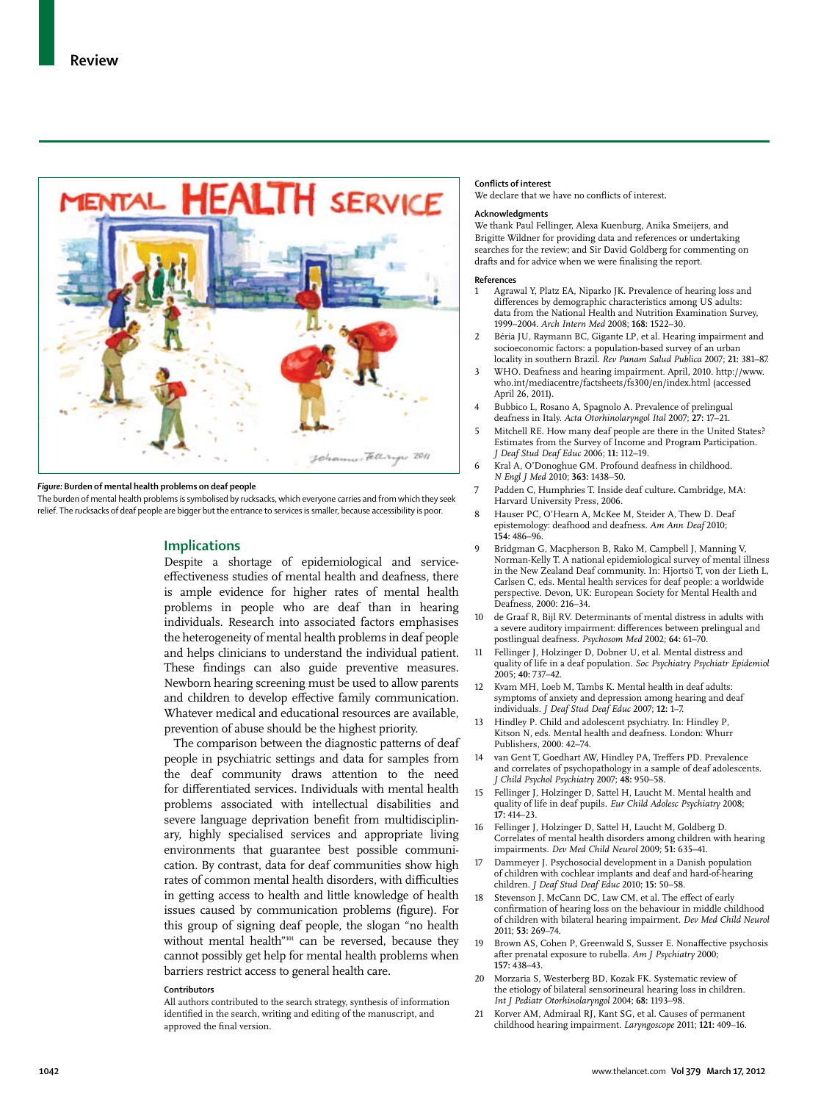

### *Figure:* **Burden of mental health problems on deaf people**

The burden of mental health problems is symbolised by rucksacks, which everyone carries and from which they seek relief. The rucksacks of deaf people are bigger but the entrance to services is smaller, because accessibility is poor.

## **Implications**

Despite a shortage of epidemiological and serviceeffectiveness studies of mental health and deafness, there is ample evidence for higher rates of mental health problems in people who are deaf than in hearing individuals. Research into associated factors emphasises the heterogeneity of mental health problems in deaf people and helps clinicians to understand the individual patient. These findings can also guide preventive measures. Newborn hearing screening must be used to allow parents and children to develop effective family communication. Whatever medical and educational resources are available, prevention of abuse should be the highest priority.

The comparison between the diagnostic patterns of deaf people in psychiatric settings and data for samples from the deaf community draws attention to the need for differentiated services. Individuals with mental health problems associated with intellectual disabilities and severe language deprivation benefit from multidisciplinary, highly specialised services and appropriate living environments that guarantee best possible communication. By contrast, data for deaf communities show high rates of common mental health disorders, with difficulties in getting access to health and little knowledge of health issues caused by communication problems (figure). For this group of signing deaf people, the slogan "no health without mental health"<sup>101</sup> can be reversed, because they cannot possibly get help for mental health problems when barriers restrict access to general health care.

#### **Contributors**

All authors contributed to the search strategy, synthesis of information identified in the search, writing and editing of the manuscript, and approved the final version.

### **Conflicts of interest**

We declare that we have no conflicts of interest**.**

### **Acknowledgments**

We thank Paul Fellinger, Alexa Kuenburg, Anika Smeijers, and Brigitte Wildner for providing data and references or undertaking searches for the review; and Sir David Goldberg for commenting on drafts and for advice when we were finalising the report.

#### **References**

- Agrawal Y, Platz EA, Niparko JK. Prevalence of hearing loss and differences by demographic characteristics among US adults: data from the National Health and Nutrition Examination Survey, 1999–2004. *Arch Intern Med* 2008; **168:** 1522–30.
- 2 Béria JU, Raymann BC, Gigante LP, et al. Hearing impairment and socioeconomic factors: a population-based survey of an urban locality in southern Brazil. *Rev Panam Salud Publica* 2007; **21:** 381–87.
- 3 WHO. Deafness and hearing impairment. April, 2010. http://www. who.int/mediacentre/factsheets/fs300/en/index.html (accessed April 26, 2011).
- 4 Bubbico L, Rosano A, Spagnolo A. Prevalence of prelingual deafness in Italy. *Acta Otorhinolaryngol Ital* 2007; **27:** 17–21.
- 5 Mitchell RE. How many deaf people are there in the United States? Estimates from the Survey of Income and Program Participation. *J Deaf Stud Deaf Educ* 2006; **11:** 112–19.
- 6 Kral A, O'Donoghue GM. Profound deafness in childhood. *N Engl J Med* 2010; **363:** 1438–50.
- 7 Padden C, Humphries T. Inside deaf culture. Cambridge, MA: Harvard University Press, 2006.
- Hauser PC, O'Hearn A, McKee M, Steider A, Thew D. Deaf epistemology: deafhood and deafness. *Am Ann Deaf* 2010; **154:** 486–96.
- 9 Bridgman G, Macpherson B, Rako M, Campbell J, Manning V, Norman-Kelly T. A national epidemiological survey of mental illness in the New Zealand Deaf community. In: Hjortsö T, von der Lieth L, Carlsen C, eds. Mental health services for deaf people: a worldwide perspective. Devon, UK: European Society for Mental Health and Deafness, 2000: 216–34.
- 10 de Graaf R, Bijl RV. Determinants of mental distress in adults with a severe auditory impairment: differences between prelingual and postlingual deafness. *Psychosom Med* 2002; **64:** 61–70.
- 11 Fellinger J, Holzinger D, Dobner U, et al. Mental distress and quality of life in a deaf population. *Soc Psychiatry Psychiatr Epidemiol* 2005; **40:** 737–42.
- Kvam MH, Loeb M, Tambs K. Mental health in deaf adults: symptoms of anxiety and depression among hearing and deaf individuals. *J Deaf Stud Deaf Educ* 2007; **12:** 1–7.
- 13 Hindley P. Child and adolescent psychiatry. In: Hindley P, Kitson N, eds. Mental health and deafness. London: Whurr Publishers, 2000: 42–74.
- 14 van Gent T, Goedhart AW, Hindley PA, Treffers PD. Prevalence and correlates of psychopathology in a sample of deaf adolescents. *J Child Psychol Psychiatry* 2007; **48:** 950–58.
- 15 Fellinger J, Holzinger D, Sattel H, Laucht M. Mental health and quality of life in deaf pupils. *Eur Child Adolesc Psychiatry* 2008; **17:** 414–23.
- 16 Fellinger J, Holzinger D, Sattel H, Laucht M, Goldberg D. Correlates of mental health disorders among children with hearing impairments. *Dev Med Child Neurol* 2009; **51:** 635–41.
- 17 Dammeyer J. Psychosocial development in a Danish population of children with cochlear implants and deaf and hard-of-hearing children. *J Deaf Stud Deaf Educ* 2010; **15:** 50–58.
- 18 Stevenson J, McCann DC, Law CM, et al. The effect of early confirmation of hearing loss on the behaviour in middle childhood of children with bilateral hearing impairment. *Dev Med Child Neurol* 2011; **53:** 269–74.
- 19 Brown AS, Cohen P, Greenwald S, Susser E. Nonaffective psychosis after prenatal exposure to rubella. *Am J Psychiatry* 2000; **157:** 438–43.
- 20 Morzaria S, Westerberg BD, Kozak FK. Systematic review of the etiology of bilateral sensorineural hearing loss in children. *Int J Pediatr Otorhinolaryngol* 2004; **68:** 1193–98.
- Korver AM, Admiraal RJ, Kant SG, et al. Causes of permanent childhood hearing impairment. *Laryngoscope* 2011; **121:** 409–16.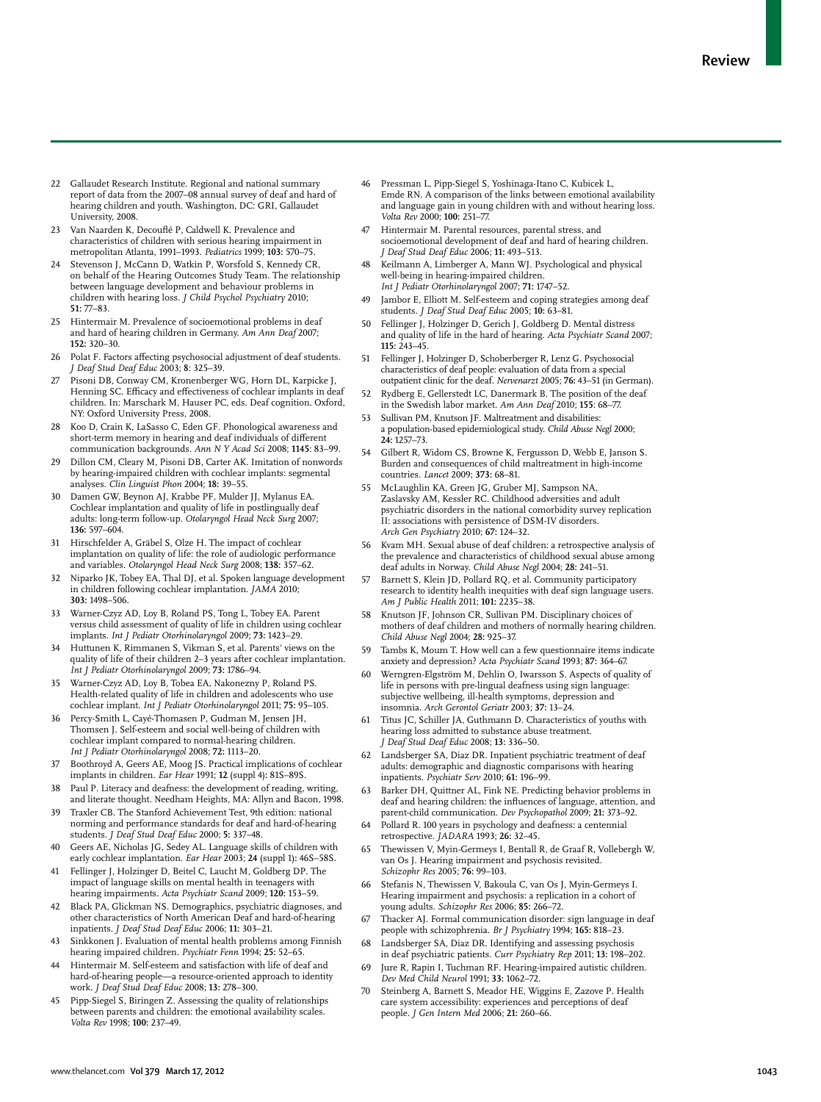- 22 Gallaudet Research Institute. Regional and national summary report of data from the 2007–08 annual survey of deaf and hard of hearing children and youth. Washington, DC: GRI, Gallaudet University, 2008.
- 23 Van Naarden K, Decouflé P, Caldwell K. Prevalence and characteristics of children with serious hearing impairment in metropolitan Atlanta, 1991–1993. *Pediatrics* 1999; **103:** 570–75.
- 24 Stevenson J, McCann D, Watkin P, Worsfold S, Kennedy CR, on behalf of the Hearing Outcomes Study Team. The relationship between language development and behaviour problems in children with hearing loss. *J Child Psychol Psychiatry* 2010; **51:** 77–83.
- 25 Hintermair M. Prevalence of socioemotional problems in deaf and hard of hearing children in Germany. *Am Ann Deaf* 2007; **152:** 320–30.
- 26 Polat F. Factors affecting psychosocial adjustment of deaf students. *J Deaf Stud Deaf Educ* 2003; **8**: 325–39.
- Pisoni DB, Conway CM, Kronenberger WG, Horn DL, Karpicke J, Henning SC. Efficacy and effectiveness of cochlear implants in deaf children. In: Marschark M, Hauser PC, eds. Deaf cognition. Oxford, NY: Oxford University Press, 2008.
- 28 Koo D, Crain K, LaSasso C, Eden GF. Phonological awareness and short-term memory in hearing and deaf individuals of different communication backgrounds. *Ann N Y Acad Sci* 2008; **1145**: 83–99.
- 29 Dillon CM, Cleary M, Pisoni DB, Carter AK. Imitation of nonwords by hearing-impaired children with cochlear implants: segmental analyses. *Clin Linguist Phon* 2004; **18:** 39–55.
- 30 Damen GW, Beynon AJ, Krabbe PF, Mulder JJ, Mylanus EA. Cochlear implantation and quality of life in postlingually deaf adults: long-term follow-up. *Otolaryngol Head Neck Surg* 2007; **136:** 597–604.
- 31 Hirschfelder A, Gräbel S, Olze H. The impact of cochlear implantation on quality of life: the role of audiologic performance and variables. *Otolaryngol Head Neck Surg* 2008; **138:** 357–62.
- 32 Niparko JK, Tobey EA, Thal DJ, et al. Spoken language development in children following cochlear implantation. *JAMA* 2010; **303:** 1498–506.
- Warner-Czyz AD, Loy B, Roland PS, Tong L, Tobey EA. Parent versus child assessment of quality of life in children using cochlear implants. *Int J Pediatr Otorhinolaryngol* 2009; **73:** 1423–29.
- 34 Huttunen K, Rimmanen S, Vikman S, et al. Parents' views on the quality of life of their children 2–3 years after cochlear implantation. *Int J Pediatr Otorhinolaryngol* 2009; **73:** 1786–94.
- 35 Warner-Czyz AD, Loy B, Tobea EA, Nakonezny P, Roland PS. Health-related quality of life in children and adolescents who use cochlear implant. *Int J Pediatr Otorhinolaryngol* 2011; **75:** 95–105.
- Percy-Smith L, Cayé-Thomasen P, Gudman M, Jensen JH, Thomsen J. Self-esteem and social well-being of children with cochlear implant compared to normal-hearing children. *Int J Pediatr Otorhinolaryngol* 2008; **72:** 1113–20.
- 37 Boothroyd A, Geers AE, Moog JS. Practical implications of cochlear implants in children. *Ear Hear* 1991; **12** (suppl 4)**:** 81S–89S.
- 38 Paul P. Literacy and deafness: the development of reading, writing, and literate thought. Needham Heights, MA: Allyn and Bacon, 1998.
- 39 Traxler CB. The Stanford Achievement Test, 9th edition: national norming and performance standards for deaf and hard-of-hearing students. *J Deaf Stud Deaf Educ* 2000; **5:** 337–48.
- Geers AE, Nicholas JG, Sedey AL. Language skills of children with early cochlear implantation. *Ear Hear* 2003; **24** (suppl 1)**:** 46S–58S.
- 41 Fellinger J, Holzinger D, Beitel C, Laucht M, Goldberg DP. The impact of language skills on mental health in teenagers with hearing impairments. *Acta Psychiatr Scand* 2009; **120:** 153–59.
- Black PA, Glickman NS. Demographics, psychiatric diagnoses, and other characteristics of North American Deaf and hard-of-hearing inpatients. *J Deaf Stud Deaf Educ* 2006; **11:** 303–21.
- 43 Sinkkonen J. Evaluation of mental health problems among Finnish hearing impaired children. *Psychiatr Fenn* 1994; **25:** 52–65.
- Hintermair M. Self-esteem and satisfaction with life of deaf and hard-of-hearing people—a resource-oriented approach to identity work. *J Deaf Stud Deaf Educ* 2008; **13:** 278–300.
- 45 Pipp-Siegel S, Biringen Z. Assessing the quality of relationships between parents and children: the emotional availability scales. *Volta Rev* 1998; **100:** 237–49.
- 46 Pressman L, Pipp-Siegel S, Yoshinaga-Itano C, Kubicek L, Emde RN. A comparison of the links between emotional availability and language gain in young children with and without hearing loss. *Volta Rev* 2000; **100:** 251–77.
- Hintermair M. Parental resources, parental stress, and socioemotional development of deaf and hard of hearing children. *J Deaf Stud Deaf Educ* 2006; **11:** 493–513.
- Keilmann A, Limberger A, Mann WJ. Psychological and physical well-being in hearing-impaired children. *Int J Pediatr Otorhinolaryngol* 2007; **71:** 1747–52.
- Jambor E, Elliott M. Self-esteem and coping strategies among deaf students. *J Deaf Stud Deaf Educ* 2005; **10:** 63–81.
- 50 Fellinger J, Holzinger D, Gerich J, Goldberg D. Mental distress and quality of life in the hard of hearing. *Acta Psychiatr Scand* 2007; **115:** 243–45.
- 51 Fellinger J, Holzinger D, Schoberberger R, Lenz G. Psychosocial characteristics of deaf people: evaluation of data from a special outpatient clinic for the deaf. *Nervenarzt* 2005; **76:** 43–51 (in German).
- 52 Rydberg E, Gellerstedt LC, Danermark B. The position of the deaf in the Swedish labor market. *Am Ann Deaf* 2010; **155**: 68–77.
- Sullivan PM, Knutson JF. Maltreatment and disabilities: a population-based epidemiological study. *Child Abuse Negl* 2000; **24:** 1257–73.
- 54 Gilbert R, Widom CS, Browne K, Fergusson D, Webb E, Janson S. Burden and consequences of child maltreatment in high-income countries. *Lancet* 2009; **373:** 68–81.
- 55 McLaughlin KA, Green JG, Gruber MJ, Sampson NA, Zaslavsky AM, Kessler RC. Childhood adversities and adult psychiatric disorders in the national comorbidity survey replication II: associations with persistence of DSM-IV disorders. *Arch Gen Psychiatry* 2010; **67:** 124–32.
- 56 Kvam MH. Sexual abuse of deaf children: a retrospective analysis of the prevalence and characteristics of childhood sexual abuse among deaf adults in Norway. *Child Abuse Negl* 2004; **28:** 241–51.
- Barnett S, Klein JD, Pollard RQ, et al. Community participatory research to identity health inequities with deaf sign language users. *Am J Public Health* 2011; **101:** 2235–38.
- 58 Knutson JF, Johnson CR, Sullivan PM. Disciplinary choices of mothers of deaf children and mothers of normally hearing children. *Child Abuse Negl* 2004; **28:** 925–37.
- Tambs K, Moum T. How well can a few questionnaire items indicate anxiety and depression? *Acta Psychiatr Scand* 1993; **87:** 364–67.
- 60 Werngren-Elgström M, Dehlin O, Iwarsson S. Aspects of quality of life in persons with pre-lingual deafness using sign language: subjective wellbeing, ill-health symptoms, depression and insomnia. *Arch Gerontol Geriatr* 2003; **37:** 13–24.
- 61 Titus JC, Schiller JA, Guthmann D. Characteristics of youths with hearing loss admitted to substance abuse treatment. *J Deaf Stud Deaf Educ* 2008; **13:** 336–50.
- 62 Landsberger SA, Diaz DR. Inpatient psychiatric treatment of deaf adults: demographic and diagnostic comparisons with hearing inpatients. *Psychiatr Serv* 2010; **61:** 196–99.
- 63 Barker DH, Quittner AL, Fink NE. Predicting behavior problems in deaf and hearing children: the influences of language, attention, and parent-child communication. *Dev Psychopathol* 2009; **21:** 373–92.
- Pollard R. 100 years in psychology and deafness: a centennial retrospective. *JADARA* 1993; **26:** 32–45.
- 65 Thewissen V, Myin-Germeys I, Bentall R, de Graaf R, Vollebergh W, van Os J. Hearing impairment and psychosis revisited. *Schizophr Res* 2005; **76:** 99–103.
- 66 Stefanis N, Thewissen V, Bakoula C, van Os J, Myin-Germeys I. Hearing impairment and psychosis: a replication in a cohort of young adults. *Schizophr Res* 2006; **85:** 266–72.
- 67 Thacker AJ. Formal communication disorder: sign language in deaf people with schizophrenia. *Br J Psychiatry* 1994; **165:** 818–23.
- Landsberger SA, Diaz DR. Identifying and assessing psychosis in deaf psychiatric patients. *Curr Psychiatry Rep* 2011; **13:** 198–202.
- 69 Jure R, Rapin I, Tuchman RF. Hearing-impaired autistic children. *Dev Med Child Neurol* 1991; **33:** 1062–72.
- Steinberg A, Barnett S, Meador HE, Wiggins E, Zazove P. Health care system accessibility: experiences and perceptions of deaf people. *J Gen Intern Med* 2006; **21:** 260–66.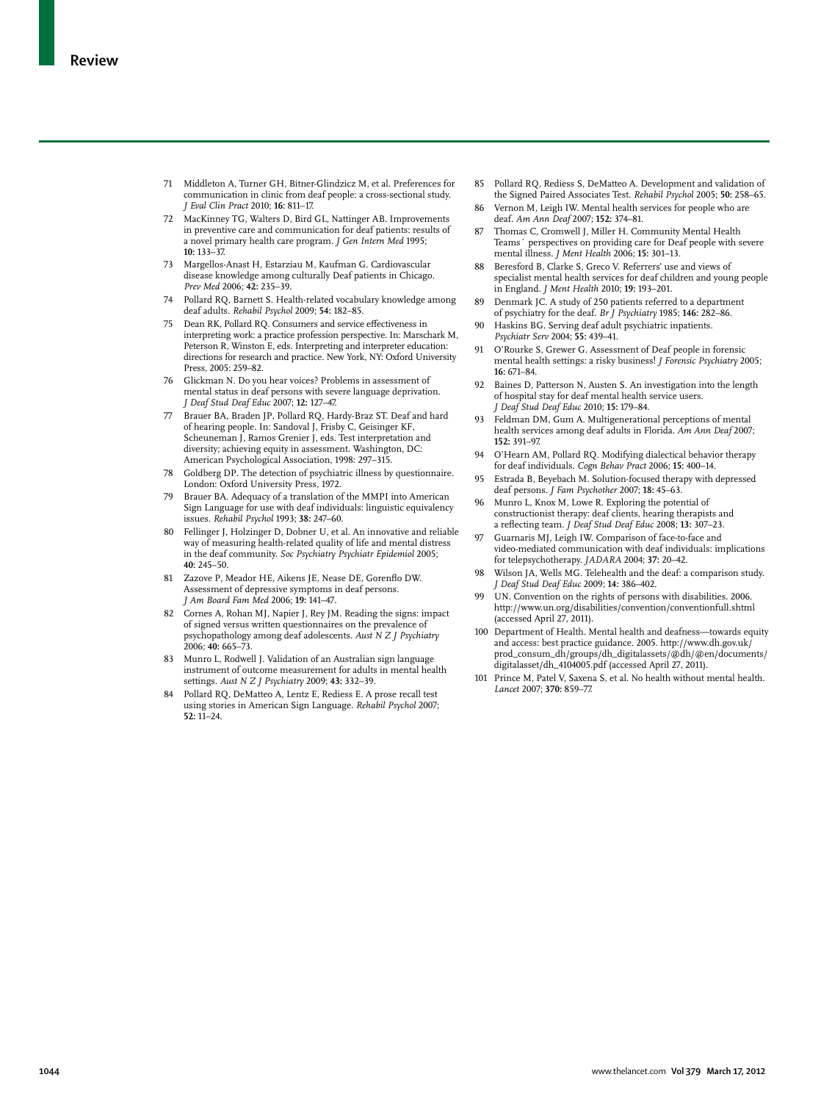- 71 Middleton A, Turner GH, Bitner-Glindzicz M, et al. Preferences for communication in clinic from deaf people: a cross-sectional study. *J Eval Clin Pract* 2010; **16:** 811–17.
- 72 MacKinney TG, Walters D, Bird GL, Nattinger AB. Improvements in preventive care and communication for deaf patients: results of a novel primary health care program. *J Gen Intern Med* 1995; **10:** 133–37.
- 73 Margellos-Anast H, Estarziau M, Kaufman G. Cardiovascular disease knowledge among culturally Deaf patients in Chicago. *Prev Med* 2006; **42:** 235–39.
- Pollard RQ, Barnett S. Health-related vocabulary knowledge among deaf adults. *Rehabil Psychol* 2009; **54:** 182–85.
- 75 Dean RK, Pollard RQ. Consumers and service effectiveness in interpreting work: a practice profession perspective. In: Marschark M, Peterson R, Winston E, eds. Interpreting and interpreter education: directions for research and practice. New York, NY: Oxford University Press, 2005: 259–82.
- 76 Glickman N. Do you hear voices? Problems in assessment of mental status in deaf persons with severe language deprivation. *J Deaf Stud Deaf Educ* 2007; **12:** 127–47.
- Brauer BA, Braden JP, Pollard RQ, Hardy-Braz ST. Deaf and hard of hearing people. In: Sandoval J, Frisby C, Geisinger KF, Scheuneman J, Ramos Grenier J, eds. Test interpretation and diversity; achieving equity in assessment. Washington, DC: American Psychological Association, 1998: 297–315.
- 78 Goldberg DP. The detection of psychiatric illness by questionnaire. London: Oxford University Press, 1972.
- 79 Brauer BA. Adequacy of a translation of the MMPI into American Sign Language for use with deaf individuals: linguistic equivalency issues. *Rehabil Psychol* 1993; **38:** 247–60.
- 80 Fellinger J, Holzinger D, Dobner U, et al. An innovative and reliable way of measuring health-related quality of life and mental distress in the deaf community. *Soc Psychiatry Psychiatr Epidemiol* 2005; **40:** 245–50.
- 81 Zazove P, Meador HE, Aikens JE, Nease DE, Gorenflo DW. Assessment of depressive symptoms in deaf persons. *J Am Board Fam Med* 2006; **19:** 141–47*.*
- 82 Cornes A, Rohan MJ, Napier J, Rey JM. Reading the signs: impact of signed versus written questionnaires on the prevalence of psychopathology among deaf adolescents. *Aust N Z J Psychiatry* 2006; **40:** 665–73.
- 83 Munro L, Rodwell J. Validation of an Australian sign language instrument of outcome measurement for adults in mental health settings. *Aust N Z J Psychiatry* 2009; **43:** 332–39.
- Pollard RQ, DeMatteo A, Lentz E, Rediess E. A prose recall test using stories in American Sign Language. *Rehabil Psychol* 2007; **52:** 11–24.
- 85 Pollard RQ, Rediess S, DeMatteo A. Development and validation of the Signed Paired Associates Test. *Rehabil Psychol* 2005; **50:** 258–65*.*
- 86 Vernon M, Leigh IW. Mental health services for people who are deaf. *Am Ann Deaf* 2007; **152:** 374–81.
- Thomas C, Cromwell J, Miller H. Community Mental Health Teams´ perspectives on providing care for Deaf people with severe mental illness. *J Ment Health* 2006; **15:** 301–13*.*
- 88 Beresford B, Clarke S, Greco V. Referrers' use and views of specialist mental health services for deaf children and young people in England. *J Ment Health* 2010; **19:** 193–201.
- 89 Denmark JC. A study of 250 patients referred to a department of psychiatry for the deaf. *Br J Psychiatry* 1985; **146:** 282–86.
- 90 Haskins BG. Serving deaf adult psychiatric inpatients. *Psychiatr Serv* 2004; **55:** 439–41.
- 91 O'Rourke S, Grewer G. Assessment of Deaf people in forensic mental health settings: a risky business! *J Forensic Psychiatry* 2005; **16:** 671–84.
- 92 Baines D, Patterson N, Austen S. An investigation into the length of hospital stay for deaf mental health service users. *J Deaf Stud Deaf Educ* 2010; **15:** 179–84.
- Feldman DM, Gum A. Multigenerational perceptions of mental health services among deaf adults in Florida. *Am Ann Deaf* 2007; **152:** 391–97.
- 94 O'Hearn AM, Pollard RQ. Modifying dialectical behavior therapy for deaf individuals. *Cogn Behav Pract* 2006; **15:** 400–14.
- 95 Estrada B, Beyebach M. Solution-focused therapy with depressed deaf persons. *J Fam Psychother* 2007; **18:** 45–63.
- 96 Munro L, Knox M, Lowe R. Exploring the potential of constructionist therapy: deaf clients, hearing therapists and a reflecting team. *J Deaf Stud Deaf Educ* 2008; **13:** 307–23.
- 97 Guarnaris MJ, Leigh IW. Comparison of face-to-face and video-mediated communication with deaf individuals: implications for telepsychotherapy. *JADARA* 2004; **37:** 20–42.
- Wilson JA, Wells MG. Telehealth and the deaf: a comparison study. *J Deaf Stud Deaf Educ* 2009; **14:** 386–402.
- 99 UN. Convention on the rights of persons with disabilities. 2006. http://www.un.org/disabilities/convention/conventionfull.shtml (accessed April 27, 2011).
- 100 Department of Health. Mental health and deafness—towards equity and access: best practice guidance. 2005. http://www.dh.gov.uk/ prod\_consum\_dh/groups/dh\_digitalassets/@dh/@en/documents/ digitalasset/dh\_4104005.pdf (accessed April 27, 2011).
- 101 Prince M, Patel V, Saxena S, et al. No health without mental health. *Lancet* 2007; **370:** 859–77.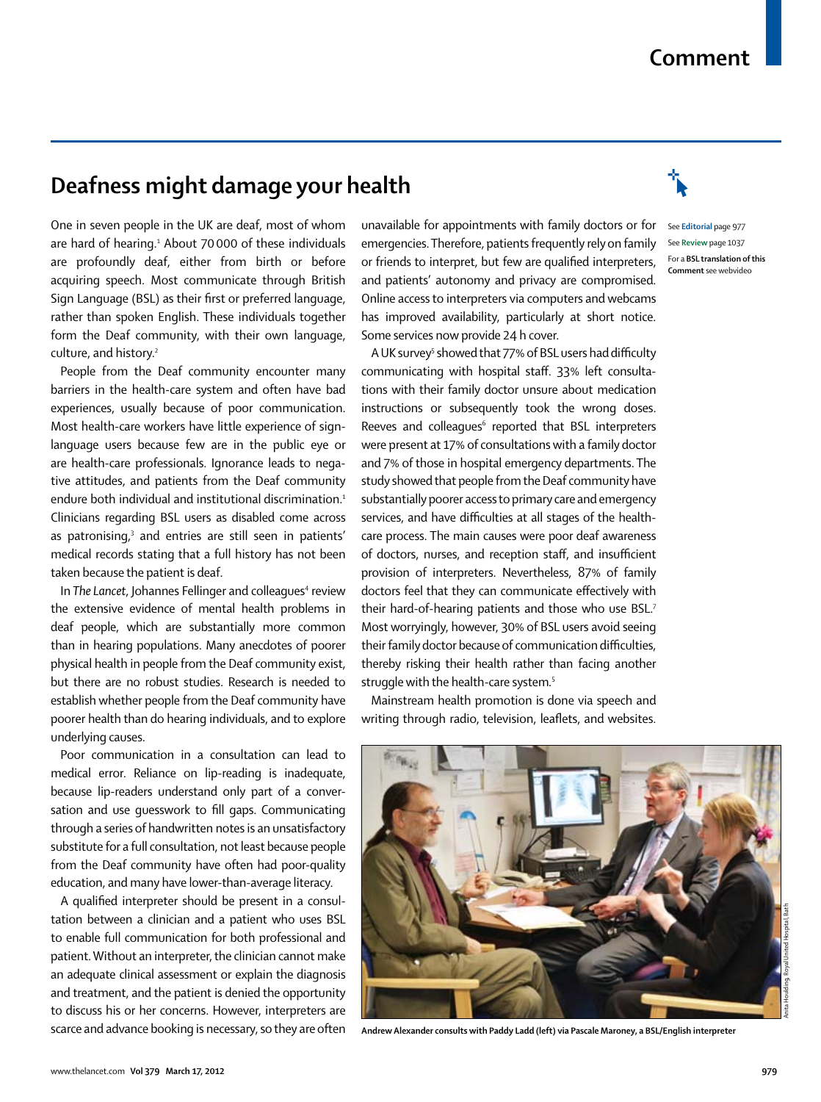# **Comment**

# **Deafness might damage your health**

One in seven people in the UK are deaf, most of whom are hard of hearing.<sup>1</sup> About 70 000 of these individuals are profoundly deaf, either from birth or before acquiring speech. Most communicate through British Sign Language (BSL) as their first or preferred language, rather than spoken English. These individuals together form the Deaf community, with their own language, culture, and history.<sup>2</sup>

People from the Deaf community encounter many barriers in the health-care system and often have bad experiences, usually because of poor communication. Most health-care workers have little experience of signlanguage users because few are in the public eye or are health-care professionals. Ignorance leads to negative attitudes, and patients from the Deaf community endure both individual and institutional discrimination.<sup>1</sup> Clinicians regarding BSL users as disabled come across as patronising,<sup>3</sup> and entries are still seen in patients' medical records stating that a full history has not been taken because the patient is deaf.

In The Lancet, Johannes Fellinger and colleagues<sup>4</sup> review the extensive evidence of mental health problems in deaf people, which are substantially more common than in hearing populations. Many anecdotes of poorer physical health in people from the Deaf community exist, but there are no robust studies. Research is needed to establish whether people from the Deaf community have poorer health than do hearing individuals, and to explore underlying causes.

Poor communication in a consultation can lead to medical error. Reliance on lip-reading is inadequate, because lip-readers understand only part of a conversation and use guesswork to fill gaps. Communicating through a series of handwritten notes is an unsatisfactory substitute for a full consultation, not least because people from the Deaf community have often had poor-quality education, and many have lower-than-average literacy.

A qualified interpreter should be present in a consultation between a clinician and a patient who uses BSL to enable full communication for both professional and patient. Without an interpreter, the clinician cannot make an adequate clinical assessment or explain the diagnosis and treatment, and the patient is denied the opportunity to discuss his or her concerns. However, interpreters are scarce and advance booking is necessary, so they are often

unavailable for appointments with family doctors or for See **Editorial** page 977 emergencies. Therefore, patients frequently rely on family or friends to interpret, but few are qualified interpreters, and patients' autonomy and privacy are compromised. Online access to interpreters via computers and webcams has improved availability, particularly at short notice. Some services now provide 24 h cover.

A UK survey<sup>5</sup> showed that 77% of BSL users had difficulty communicating with hospital staff. 33% left consultations with their family doctor unsure about medication instructions or subsequently took the wrong doses. Reeves and colleagues<sup>6</sup> reported that BSL interpreters were present at 17% of consultations with a family doctor and 7% of those in hospital emergency departments. The study showed that people from the Deaf community have substantially poorer access to primary care and emergency services, and have difficulties at all stages of the healthcare process. The main causes were poor deaf awareness of doctors, nurses, and reception staff, and insufficient provision of interpreters. Nevertheless, 87% of family doctors feel that they can communicate effectively with their hard-of-hearing patients and those who use BSL.7 Most worryingly, however, 30% of BSL users avoid seeing their family doctor because of communication difficulties, thereby risking their health rather than facing another struggle with the health-care system*.* 5

Mainstream health promotion is done via speech and writing through radio, television, leaflets, and websites.



**Andrew Alexander consults with Paddy Ladd (left) via Pascale Maroney, a BSL/English interpreter**



See **Review** page 1037 For a **BSL translation of this Comment** see webvideo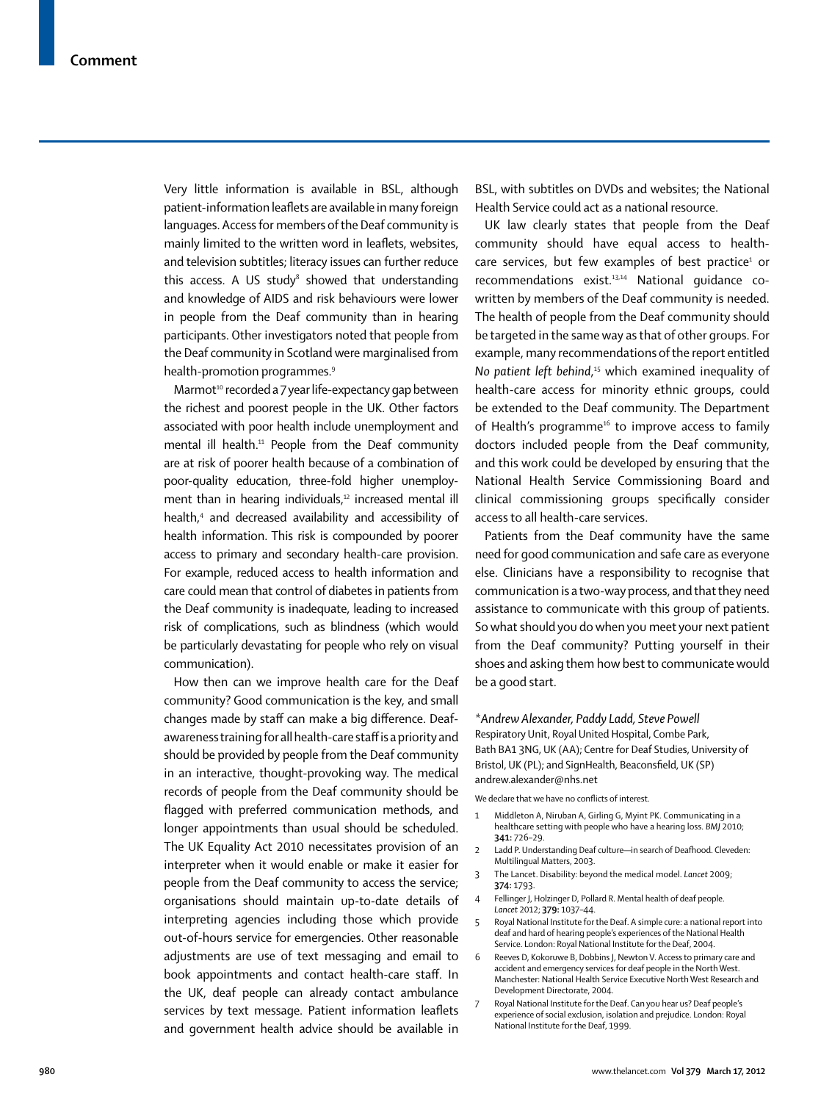Very little information is available in BSL, although patient-information leaflets are available in many foreign languages. Access for members of the Deaf community is mainly limited to the written word in leaflets, websites, and television subtitles; literacy issues can further reduce this access. A US study $^8$  showed that understanding and knowledge of AIDS and risk behaviours were lower in people from the Deaf community than in hearing participants. Other investigators noted that people from the Deaf community in Scotland were marginalised from health-promotion programmes.<sup>9</sup>

Marmot $10$  recorded a 7 year life-expectancy gap between the richest and poorest people in the UK. Other factors associated with poor health include unemployment and mental ill health.<sup>11</sup> People from the Deaf community are at risk of poorer health because of a combination of poor-quality education, three-fold higher unemployment than in hearing individuals, $12$  increased mental ill health,4 and decreased availability and accessibility of health information. This risk is compounded by poorer access to primary and secondary health-care provision. For example, reduced access to health information and care could mean that control of diabetes in patients from the Deaf community is inadequate, leading to increased risk of complications, such as blindness (which would be particularly devastating for people who rely on visual communication).

How then can we improve health care for the Deaf community? Good communication is the key, and small changes made by staff can make a big difference. Deafawareness training for all health-care staff is a priority and should be provided by people from the Deaf community in an interactive, thought-provoking way. The medical records of people from the Deaf community should be flagged with preferred communication methods, and longer appointments than usual should be scheduled. The UK Equality Act 2010 necessitates provision of an interpreter when it would enable or make it easier for people from the Deaf community to access the service; organisations should maintain up-to-date details of interpreting agencies including those which provide out-of-hours service for emergencies. Other reasonable adjustments are use of text messaging and email to book appointments and contact health-care staff. In the UK, deaf people can already contact ambulance services by text message. Patient information leaflets and government health advice should be available in BSL, with subtitles on DVDs and websites; the National Health Service could act as a national resource.

UK law clearly states that people from the Deaf community should have equal access to health $care$  services, but few examples of best practice<sup>1</sup> or recommendations exist.<sup>13,14</sup> National guidance cowritten by members of the Deaf community is needed. The health of people from the Deaf community should be targeted in the same way as that of other groups. For example, many recommendations of the report entitled No patient left behind,<sup>15</sup> which examined inequality of health-care access for minority ethnic groups, could be extended to the Deaf community. The Department of Health's programme<sup>16</sup> to improve access to family doctors included people from the Deaf community, and this work could be developed by ensuring that the National Health Service Commissioning Board and clinical commissioning groups specifically consider access to all health-care services.

Patients from the Deaf community have the same need for good communication and safe care as everyone else. Clinicians have a responsibility to recognise that communication is a two-way process, and that they need assistance to communicate with this group of patients. So what should you do when you meet your next patient from the Deaf community? Putting yourself in their shoes and asking them how best to communicate would be a good start.

# *\*Andrew Alexander, Paddy Ladd, Steve Powell*

Respiratory Unit, Royal United Hospital, Combe Park, Bath BA1 3NG, UK (AA); Centre for Deaf Studies, University of Bristol, UK (PL); and SignHealth, Beaconsfield, UK (SP) andrew.alexander@nhs.net

We declare that we have no conflicts of interest.

- 1 Middleton A, Niruban A, Girling G, Myint PK. Communicating in a healthcare setting with people who have a hearing loss. *BMJ* 2010; **341:** 726–29.
- Ladd P. Understanding Deaf culture—in search of Deafhood. Cleveden: Multilingual Matters, 2003.
- 3 The Lancet. Disability: beyond the medical model. *Lancet* 2009; **374:** 1793.
- Fellinger J, Holzinger D, Pollard R. Mental health of deaf people. *Lancet* 2012; **379:** 1037–44.
- 5 Royal National Institute for the Deaf. A simple cure: a national report into deaf and hard of hearing people's experiences of the National Health Service. London: Royal National Institute for the Deaf, 2004.
- 6 Reeves D, Kokoruwe B, Dobbins J, Newton V. Access to primary care and accident and emergency services for deaf people in the North West. Manchester: National Health Service Executive North West Research and Development Directorate, 2004.
- 7 Royal National Institute for the Deaf. Can you hear us? Deaf people's experience of social exclusion, isolation and prejudice. London: Royal National Institute for the Deaf, 1999.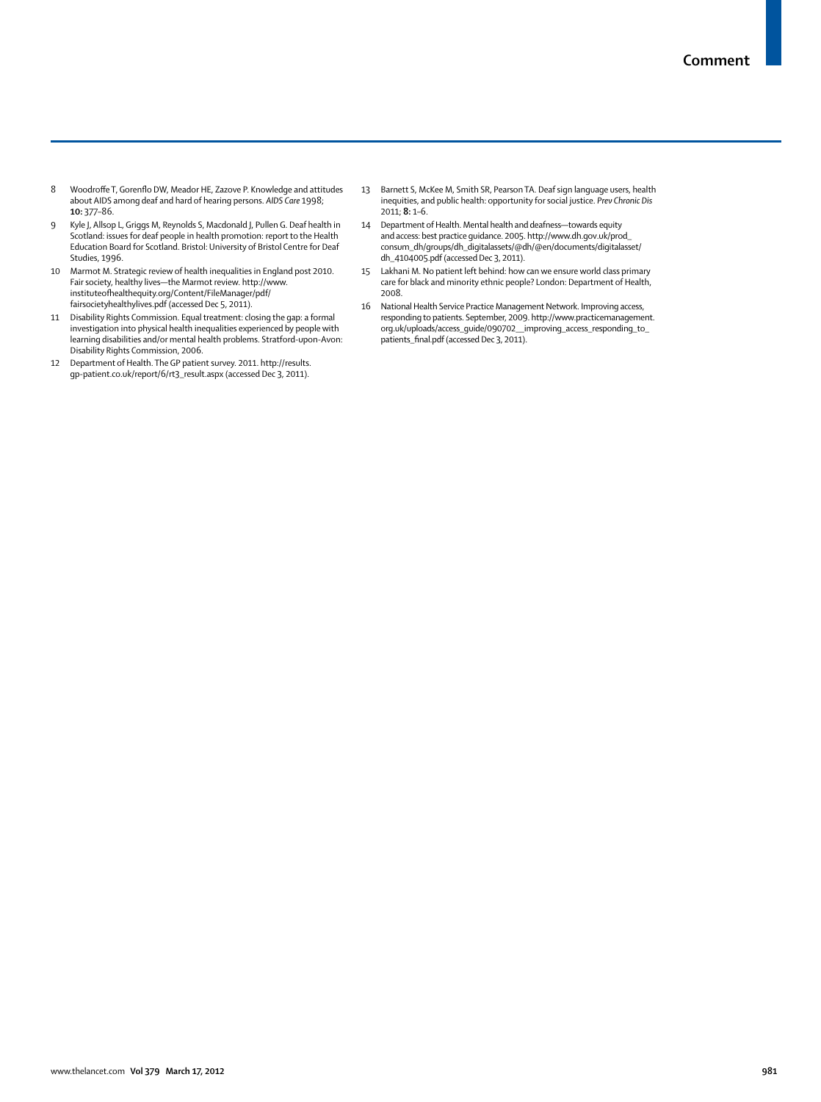- 8 Woodroffe T, Gorenflo DW, Meador HE, Zazove P. Knowledge and attitudes about AIDS among deaf and hard of hearing persons. *AIDS Care* 1998; **10:** 377–86.
- 9 Kyle J, Allsop L, Griggs M, Reynolds S, Macdonald J, Pullen G. Deaf health in Scotland: issues for deaf people in health promotion: report to the Health Education Board for Scotland. Bristol: University of Bristol Centre for Deaf Studies, 1996.
- 10 Marmot M. Strategic review of health inequalities in England post 2010. Fair society, healthy lives—the Marmot review. http://www. instituteofhealthequity.org/Content/FileManager/pdf/ fairsocietyhealthylives.pdf (accessed Dec 5, 2011).
- 11 Disability Rights Commission. Equal treatment: closing the gap: a formal investigation into physical health inequalities experienced by people with learning disabilities and/or mental health problems. Stratford-upon-Avon: Disability Rights Commission, 2006.
- 12 Department of Health. The GP patient survey. 2011. http://results. gp-patient.co.uk/report/6/rt3\_result.aspx (accessed Dec 3, 2011).
- 13 Barnett S, McKee M, Smith SR, Pearson TA. Deaf sign language users, health inequities, and public health: opportunity for social justice. *Prev Chronic Dis* 2011; **8:** 1–6.
- 14 Department of Health. Mental health and deafness—towards equity and access: best practice guidance. 2005. http://www.dh.gov.uk/prod\_ consum\_dh/groups/dh\_digitalassets/@dh/@en/documents/digitalasset/ dh\_4104005.pdf (accessed Dec 3, 2011).
- 15 Lakhani M. No patient left behind: how can we ensure world class primary care for black and minority ethnic people? London: Department of Health, 2008.
- 16 National Health Service Practice Management Network. Improving access, responding to patients. September, 2009. http://www.practicemanagement. org.uk/uploads/access\_guide/090702\_\_improving\_access\_responding\_to\_ patients\_final.pdf (accessed Dec 3, 2011).